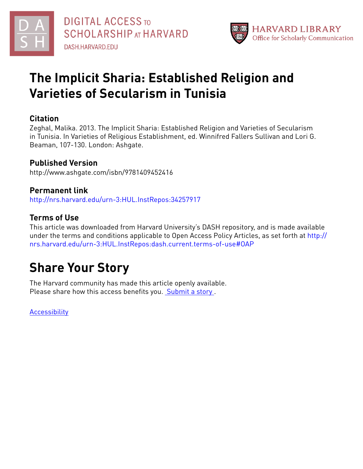



## **The Implicit Sharia: Established Religion and Varieties of Secularism in Tunisia**

### **Citation**

Zeghal, Malika. 2013. The Implicit Sharia: Established Religion and Varieties of Secularism in Tunisia. In Varieties of Religious Establishment, ed. Winnifred Fallers Sullivan and Lori G. Beaman, 107-130. London: Ashgate.

## **Published Version**

http://www.ashgate.com/isbn/9781409452416

### **Permanent link**

<http://nrs.harvard.edu/urn-3:HUL.InstRepos:34257917>

## **Terms of Use**

This article was downloaded from Harvard University's DASH repository, and is made available under the terms and conditions applicable to Open Access Policy Articles, as set forth at [http://](http://nrs.harvard.edu/urn-3:HUL.InstRepos:dash.current.terms-of-use#OAP) [nrs.harvard.edu/urn-3:HUL.InstRepos:dash.current.terms-of-use#OAP](http://nrs.harvard.edu/urn-3:HUL.InstRepos:dash.current.terms-of-use#OAP)

# **Share Your Story**

The Harvard community has made this article openly available. Please share how this access benefits you. [Submit](http://osc.hul.harvard.edu/dash/open-access-feedback?handle=&title=The%20Implicit%20Sharia:%20Established%20Religion%20and%20Varieties%20of%20Secularism%20in%20Tunisia&community=1/1&collection=1/2&owningCollection1/2&harvardAuthors=2d7e161b00117e11bd322eb94d5f0b54&departmentNear%20Eastern%20Languages%20and%20Civilizations) a story .

**[Accessibility](https://dash.harvard.edu/pages/accessibility)**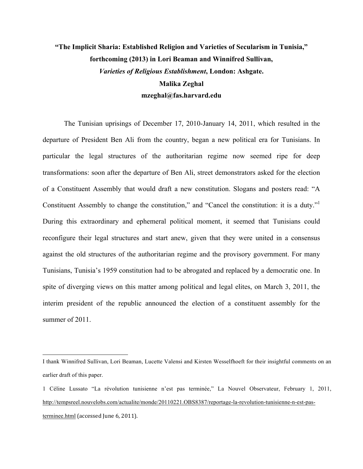## **"The Implicit Sharia: Established Religion and Varieties of Secularism in Tunisia," forthcoming (2013) in Lori Beaman and Winnifred Sullivan,**  *Varieties of Religious Establishment***, London: Ashgate. Malika Zeghal mzeghal@fas.harvard.edu**

The Tunisian uprisings of December 17, 2010-January 14, 2011, which resulted in the departure of President Ben Ali from the country, began a new political era for Tunisians. In particular the legal structures of the authoritarian regime now seemed ripe for deep transformations: soon after the departure of Ben Ali, street demonstrators asked for the election of a Constituent Assembly that would draft a new constitution. Slogans and posters read: "A Constituent Assembly to change the constitution," and "Cancel the constitution: it is a duty." During this extraordinary and ephemeral political moment, it seemed that Tunisians could reconfigure their legal structures and start anew, given that they were united in a consensus against the old structures of the authoritarian regime and the provisory government. For many Tunisians, Tunisia's 1959 constitution had to be abrogated and replaced by a democratic one. In spite of diverging views on this matter among political and legal elites, on March 3, 2011, the interim president of the republic announced the election of a constituent assembly for the summer of 2011.

I thank Winnifred Sullivan, Lori Beaman, Lucette Valensi and Kirsten Wesselfhoeft for their insightful comments on an earlier draft of this paper.

<sup>1</sup> Céline Lussato "La révolution tunisienne n'est pas terminée," La Nouvel Observateur, February 1, 2011, http://tempsreel.nouvelobs.com/actualite/monde/20110221.OBS8387/reportage-la-revolution-tunisienne-n-est-pasterminee.html (accessed June 6, 2011).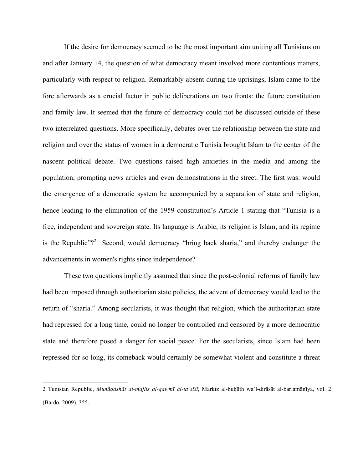If the desire for democracy seemed to be the most important aim uniting all Tunisians on and after January 14, the question of what democracy meant involved more contentious matters, particularly with respect to religion. Remarkably absent during the uprisings, Islam came to the fore afterwards as a crucial factor in public deliberations on two fronts: the future constitution and family law. It seemed that the future of democracy could not be discussed outside of these two interrelated questions. More specifically, debates over the relationship between the state and religion and over the status of women in a democratic Tunisia brought Islam to the center of the nascent political debate. Two questions raised high anxieties in the media and among the population, prompting news articles and even demonstrations in the street. The first was: would the emergence of a democratic system be accompanied by a separation of state and religion, hence leading to the elimination of the 1959 constitution's Article 1 stating that "Tunisia is a free, independent and sovereign state. Its language is Arabic, its religion is Islam, and its regime is the Republic"?<sup>2</sup> Second, would democracy "bring back sharia," and thereby endanger the advancements in women's rights since independence?

These two questions implicitly assumed that since the post-colonial reforms of family law had been imposed through authoritarian state policies, the advent of democracy would lead to the return of "sharia." Among secularists, it was thought that religion, which the authoritarian state had repressed for a long time, could no longer be controlled and censored by a more democratic state and therefore posed a danger for social peace. For the secularists, since Islam had been repressed for so long, its comeback would certainly be somewhat violent and constitute a threat

<sup>2</sup> Tunisian Republic, *Munāqashāt al-majlis al-qawmī al-ta'sīsī*, Markiz al-buḥūth wa'l-dirāsāt al-barlamānīya, vol. 2 (Bardo, 2009), 355.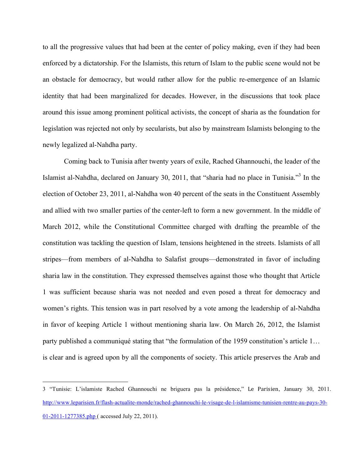to all the progressive values that had been at the center of policy making, even if they had been enforced by a dictatorship. For the Islamists, this return of Islam to the public scene would not be an obstacle for democracy, but would rather allow for the public re-emergence of an Islamic identity that had been marginalized for decades. However, in the discussions that took place around this issue among prominent political activists, the concept of sharia as the foundation for legislation was rejected not only by secularists, but also by mainstream Islamists belonging to the newly legalized al-Nahdha party.

Coming back to Tunisia after twenty years of exile, Rached Ghannouchi, the leader of the Islamist al-Nahdha, declared on January 30, 2011, that "sharia had no place in Tunisia."<sup>3</sup> In the election of October 23, 2011, al-Nahdha won 40 percent of the seats in the Constituent Assembly and allied with two smaller parties of the center-left to form a new government. In the middle of March 2012, while the Constitutional Committee charged with drafting the preamble of the constitution was tackling the question of Islam, tensions heightened in the streets. Islamists of all stripes—from members of al-Nahdha to Salafist groups—demonstrated in favor of including sharia law in the constitution. They expressed themselves against those who thought that Article 1 was sufficient because sharia was not needed and even posed a threat for democracy and women's rights. This tension was in part resolved by a vote among the leadership of al-Nahdha in favor of keeping Article 1 without mentioning sharia law. On March 26, 2012, the Islamist party published a communiqué stating that "the formulation of the 1959 constitution's article 1… is clear and is agreed upon by all the components of society. This article preserves the Arab and

<sup>3 &</sup>quot;Tunisie: L'islamiste Rached Ghannouchi ne briguera pas la présidence," Le! Parisien, January 30, 2011. http://www.leparisien.fr/flash-actualite-monde/rached-ghannouchi-le-visage-de-l-islamisme-tunisien-rentre-au-pays-30- 01-2011-1277385.php ( accessed July 22, 2011).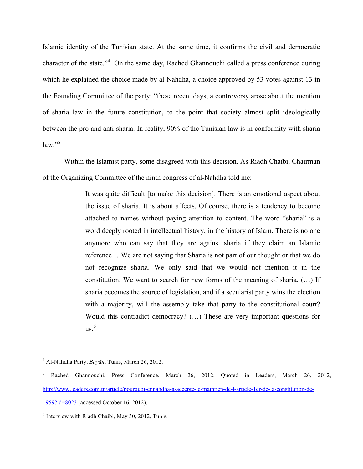Islamic identity of the Tunisian state. At the same time, it confirms the civil and democratic character of the state."<sup>4</sup> On the same day, Rached Ghannouchi called a press conference during which he explained the choice made by al-Nahdha, a choice approved by 53 votes against 13 in the Founding Committee of the party: "these recent days, a controversy arose about the mention of sharia law in the future constitution, to the point that society almost split ideologically between the pro and anti-sharia. In reality, 90% of the Tunisian law is in conformity with sharia  $law."$ <sup>5</sup>

Within the Islamist party, some disagreed with this decision. As Riadh Chaïbi, Chairman of the Organizing Committee of the ninth congress of al-Nahdha told me:

> It was quite difficult [to make this decision]. There is an emotional aspect about the issue of sharia. It is about affects. Of course, there is a tendency to become attached to names without paying attention to content. The word "sharia" is a word deeply rooted in intellectual history, in the history of Islam. There is no one anymore who can say that they are against sharia if they claim an Islamic reference… We are not saying that Sharia is not part of our thought or that we do not recognize sharia. We only said that we would not mention it in the constitution. We want to search for new forms of the meaning of sharia. (…) If sharia becomes the source of legislation, and if a secularist party wins the election with a majority, will the assembly take that party to the constitutional court? Would this contradict democracy? (…) These are very important questions for  $\mathrm{us}$ .<sup>6</sup>

 $\frac{1}{4}$ Al-Nahdha Party, *Bayān*, Tunis, March 26, 2012.

<sup>&</sup>lt;sup>5</sup> Rached Ghannouchi, Press Conference, March 26, 2012. Quoted in Leaders, March 26, 2012, http://www.leaders.com.tn/article/pourquoi-ennahdha-a-accepte-le-maintien-de-l-article-1er-de-la-constitution-de-

<sup>1959?</sup>id=8023 (accessed October 16, 2012).

<sup>6</sup> Interview with Riadh Chaibi, May 30, 2012, Tunis.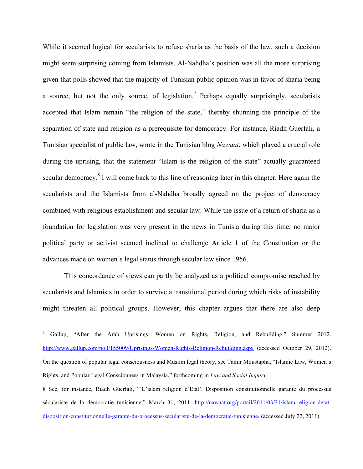While it seemed logical for secularists to refuse sharia as the basis of the law, such a decision might seem surprising coming from Islamists. Al-Nahdha's position was all the more surprising given that polls showed that the majority of Tunisian public opinion was in favor of sharia being a source, but not the only source, of legislation.<sup>7</sup> Perhaps equally surprisingly, secularists accepted that Islam remain "the religion of the state," thereby shunning the principle of the separation of state and religion as a prerequisite for democracy. For instance, Riadh Guerfali, a Tunisian specialist of public law, wrote in the Tunisian blog *Nawaat*, which played a crucial role during the uprising, that the statement "Islam is the religion of the state" actually guaranteed secular democracy.<sup>8</sup> I will come back to this line of reasoning later in this chapter. Here again the secularists and the Islamists from al-Nahdha broadly agreed on the project of democracy combined with religious establishment and secular law. While the issue of a return of sharia as a foundation for legislation was very present in the news in Tunisia during this time, no major political party or activist seemed inclined to challenge Article 1 of the Constitution or the advances made on women's legal status through secular law since 1956.

This concordance of views can partly be analyzed as a political compromise reached by secularists and Islamists in order to survive a transitional period during which risks of instability might threaten all political groups. However, this chapter argues that there are also deep

<sup>-&</sup>lt;br>7 <sup>7</sup> Gallup, "After the Arab Uprisings: Women on Rights, Religion, and Rebuilding," Summer 2012. http://www.gallup.com/poll/155009/Uprisings-Women-Rights-Religion-Rebuilding.aspx (accessed October 29, 2012). On the question of popular legal consciousness and Muslim legal theory, see Tamir Moustapha, "Islamic Law, Women's Rights, and Popular Legal Consciouness in Malaysia," forthcoming in *Law and Social Inquiry*.

<sup>8</sup> See, for instance, Riadh Guerfali, "'L'islam religion d'Etat'. Disposition constitutionnelle garante du processus séculariste de la démocratie tunisienne," March 31, 2011, http://nawaat.org/portail/2011/03/31/islam-religion-detatdisposition-constitutionnelle-garante-du-processus-seculariste-de-la-democratie-tunisienne/ (accessed July 22, 2011).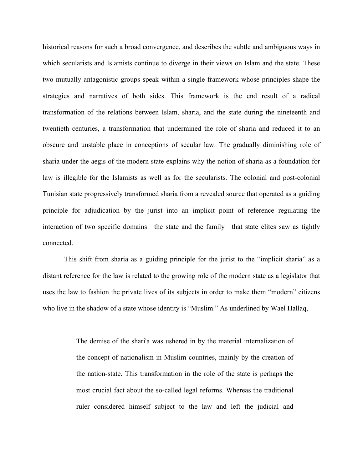historical reasons for such a broad convergence, and describes the subtle and ambiguous ways in which secularists and Islamists continue to diverge in their views on Islam and the state. These two mutually antagonistic groups speak within a single framework whose principles shape the strategies and narratives of both sides. This framework is the end result of a radical transformation of the relations between Islam, sharia, and the state during the nineteenth and twentieth centuries, a transformation that undermined the role of sharia and reduced it to an obscure and unstable place in conceptions of secular law. The gradually diminishing role of sharia under the aegis of the modern state explains why the notion of sharia as a foundation for law is illegible for the Islamists as well as for the secularists. The colonial and post-colonial Tunisian state progressively transformed sharia from a revealed source that operated as a guiding principle for adjudication by the jurist into an implicit point of reference regulating the interaction of two specific domains—the state and the family—that state elites saw as tightly connected.

This shift from sharia as a guiding principle for the jurist to the "implicit sharia" as a distant reference for the law is related to the growing role of the modern state as a legislator that uses the law to fashion the private lives of its subjects in order to make them "modern" citizens who live in the shadow of a state whose identity is "Muslim." As underlined by Wael Hallaq,

> The demise of the shari'a was ushered in by the material internalization of the concept of nationalism in Muslim countries, mainly by the creation of the nation-state. This transformation in the role of the state is perhaps the most crucial fact about the so-called legal reforms. Whereas the traditional ruler considered himself subject to the law and left the judicial and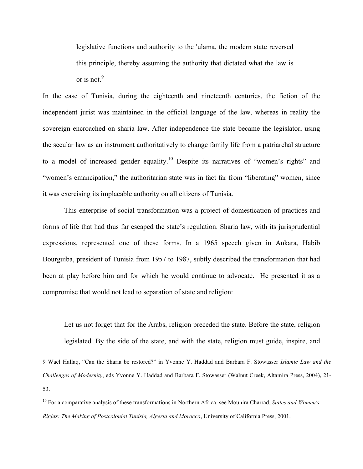legislative functions and authority to the 'ulama, the modern state reversed this principle, thereby assuming the authority that dictated what the law is or is not.<sup>9</sup>

In the case of Tunisia, during the eighteenth and nineteenth centuries, the fiction of the independent jurist was maintained in the official language of the law, whereas in reality the sovereign encroached on sharia law. After independence the state became the legislator, using the secular law as an instrument authoritatively to change family life from a patriarchal structure to a model of increased gender equality.<sup>10</sup> Despite its narratives of "women's rights" and "women's emancipation," the authoritarian state was in fact far from "liberating" women, since it was exercising its implacable authority on all citizens of Tunisia.

This enterprise of social transformation was a project of domestication of practices and forms of life that had thus far escaped the state's regulation. Sharia law, with its jurisprudential expressions, represented one of these forms. In a 1965 speech given in Ankara, Habib Bourguiba, president of Tunisia from 1957 to 1987, subtly described the transformation that had been at play before him and for which he would continue to advocate. He presented it as a compromise that would not lead to separation of state and religion:

Let us not forget that for the Arabs, religion preceded the state. Before the state, religion legislated. By the side of the state, and with the state, religion must guide, inspire, and

<sup>9</sup> Wael Hallaq, "Can the Sharia be restored?" in Yvonne Y. Haddad and Barbara F. Stowasser *Islamic Law and the Challenges of Modernity*, eds Yvonne Y. Haddad and Barbara F. Stowasser (Walnut Creek, Altamira Press, 2004), 21- 53.

<sup>10</sup> For a comparative analysis of these transformations in Northern Africa, see Mounira Charrad, *States and Women's Rights: The Making of Postcolonial Tunisia, Algeria and Morocco*, University of California Press, 2001.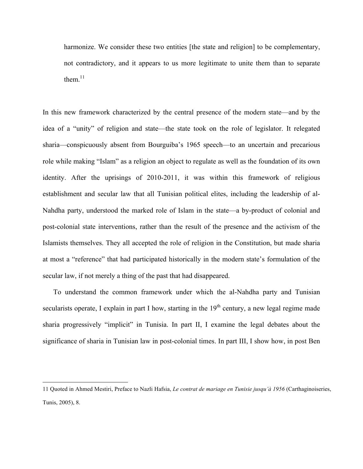harmonize. We consider these two entities [the state and religion] to be complementary, not contradictory, and it appears to us more legitimate to unite them than to separate them. $11$ 

In this new framework characterized by the central presence of the modern state—and by the idea of a "unity" of religion and state—the state took on the role of legislator. It relegated sharia—conspicuously absent from Bourguiba's 1965 speech—to an uncertain and precarious role while making "Islam" as a religion an object to regulate as well as the foundation of its own identity. After the uprisings of 2010-2011, it was within this framework of religious establishment and secular law that all Tunisian political elites, including the leadership of al-Nahdha party, understood the marked role of Islam in the state—a by-product of colonial and post-colonial state interventions, rather than the result of the presence and the activism of the Islamists themselves. They all accepted the role of religion in the Constitution, but made sharia at most a "reference" that had participated historically in the modern state's formulation of the secular law, if not merely a thing of the past that had disappeared.

To understand the common framework under which the al-Nahdha party and Tunisian secularists operate, I explain in part I how, starting in the  $19<sup>th</sup>$  century, a new legal regime made sharia progressively "implicit" in Tunisia. In part II, I examine the legal debates about the significance of sharia in Tunisian law in post-colonial times. In part III, I show how, in post Ben

<sup>11</sup> Quoted in Ahmed Mestiri, Preface to Nazli Hafsia, *Le contrat de mariage en Tunisie jusqu'à 1956* (Carthaginoiseries, Tunis, 2005), 8.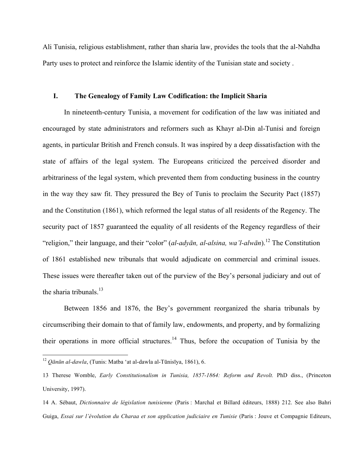Ali Tunisia, religious establishment, rather than sharia law, provides the tools that the al-Nahdha Party uses to protect and reinforce the Islamic identity of the Tunisian state and society .

### **I. The Genealogy of Family Law Codification: the Implicit Sharia**

In nineteenth-century Tunisia, a movement for codification of the law was initiated and encouraged by state administrators and reformers such as Khayr al-Din al-Tunisi and foreign agents, in particular British and French consuls. It was inspired by a deep dissatisfaction with the state of affairs of the legal system. The Europeans criticized the perceived disorder and arbitrariness of the legal system, which prevented them from conducting business in the country in the way they saw fit. They pressured the Bey of Tunis to proclaim the Security Pact (1857) and the Constitution (1861), which reformed the legal status of all residents of the Regency. The security pact of 1857 guaranteed the equality of all residents of the Regency regardless of their "religion," their language, and their "color" (*al-adyān, al-alsina, wa'l-alwān*). 12 The Constitution of 1861 established new tribunals that would adjudicate on commercial and criminal issues. These issues were thereafter taken out of the purview of the Bey's personal judiciary and out of the sharia tribunals. $^{13}$ 

Between 1856 and 1876, the Bey's government reorganized the sharia tribunals by circumscribing their domain to that of family law, endowments, and property, and by formalizing their operations in more official structures. 14 Thus, before the occupation of Tunisia by the

 <sup>12</sup> *<sup>Q</sup>ānūn al-dawla*, (Tunis: Matba 'at al-dawla al-Tūnisīya, 1861), 6.

<sup>13</sup> Therese Womble, *Early Constitutionalism in Tunisia, 1857-1864: Reform and Revolt.* PhD diss., (Princeton University, 1997).

<sup>14</sup> A. Sébaut, *Dictionnaire de législation tunisienne* (Paris : Marchal et Billard éditeurs, 1888) 212. See also Bahri Guiga, *Essai sur l'évolution du Charaa et son application judiciaire en Tunisie* (Paris : Jouve et Compagnie Editeurs,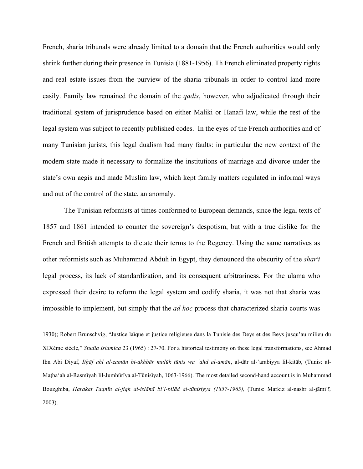French, sharia tribunals were already limited to a domain that the French authorities would only shrink further during their presence in Tunisia (1881-1956). Th French eliminated property rights and real estate issues from the purview of the sharia tribunals in order to control land more easily. Family law remained the domain of the *qadis*, however, who adjudicated through their traditional system of jurisprudence based on either Maliki or Hanafi law, while the rest of the legal system was subject to recently published codes. In the eyes of the French authorities and of many Tunisian jurists, this legal dualism had many faults: in particular the new context of the modern state made it necessary to formalize the institutions of marriage and divorce under the state's own aegis and made Muslim law, which kept family matters regulated in informal ways and out of the control of the state, an anomaly.

The Tunisian reformists at times conformed to European demands, since the legal texts of 1857 and 1861 intended to counter the sovereign's despotism, but with a true dislike for the French and British attempts to dictate their terms to the Regency. Using the same narratives as other reformists such as Muhammad Abduh in Egypt, they denounced the obscurity of the *shar'i* legal process, its lack of standardization, and its consequent arbitrariness. For the ulama who expressed their desire to reform the legal system and codify sharia, it was not that sharia was impossible to implement, but simply that the *ad hoc* process that characterized sharia courts was

 1930); Robert Brunschvig, "Justice laïque et justice religieuse dans la Tunisie des Deys et des Beys jusqu'au milieu du XIXème siècle," *Studia Islamica* 23 (1965) : 27-70. For a historical testimony on these legal transformations, see Ahmad Ibn Abi Diyaf, *Itḥāf ahl al-zamān bi-akhbār mulūk tūnis wa 'ahd al-amān*, al-dār al-'arabiyya lil-kitāb, (Tunis: al-Maṭbaʻah al-Rasmīyah lil-Jumhūrīya al-Tūnisīyah, 1063-1966). The most detailed second-hand account is in Muhammad Bouzghiba, *Harakat Taqnīn al-fiqh al-islāmī bi'l-bilād al-tūnisiyya (1857-1965),* (Tunis: Markiz al-nashr al-jāmi'ī*,* 2003).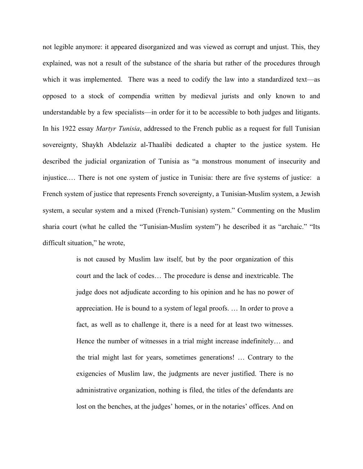not legible anymore: it appeared disorganized and was viewed as corrupt and unjust. This, they explained, was not a result of the substance of the sharia but rather of the procedures through which it was implemented. There was a need to codify the law into a standardized text—as opposed to a stock of compendia written by medieval jurists and only known to and understandable by a few specialists—in order for it to be accessible to both judges and litigants. In his 1922 essay *Martyr Tunisia*, addressed to the French public as a request for full Tunisian sovereignty, Shaykh Abdelaziz al-Thaalibi dedicated a chapter to the justice system. He described the judicial organization of Tunisia as "a monstrous monument of insecurity and injustice.… There is not one system of justice in Tunisia: there are five systems of justice: a French system of justice that represents French sovereignty, a Tunisian-Muslim system, a Jewish system, a secular system and a mixed (French-Tunisian) system." Commenting on the Muslim sharia court (what he called the "Tunisian-Muslim system") he described it as "archaic." "Its difficult situation," he wrote,

> is not caused by Muslim law itself, but by the poor organization of this court and the lack of codes… The procedure is dense and inextricable. The judge does not adjudicate according to his opinion and he has no power of appreciation. He is bound to a system of legal proofs. … In order to prove a fact, as well as to challenge it, there is a need for at least two witnesses. Hence the number of witnesses in a trial might increase indefinitely… and the trial might last for years, sometimes generations! … Contrary to the exigencies of Muslim law, the judgments are never justified. There is no administrative organization, nothing is filed, the titles of the defendants are lost on the benches, at the judges' homes, or in the notaries' offices. And on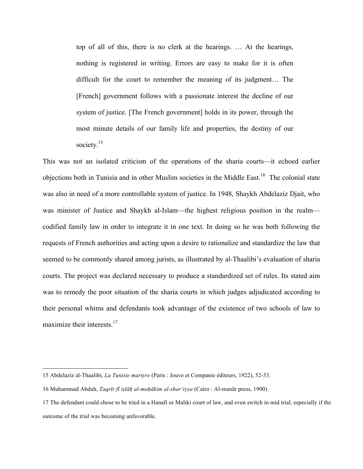top of all of this, there is no clerk at the hearings. … At the hearings, nothing is registered in writing. Errors are easy to make for it is often difficult for the court to remember the meaning of its judgment… The [French] government follows with a passionate interest the decline of our system of justice. [The French government] holds in its power, through the most minute details of our family life and properties, the destiny of our society.<sup>15</sup>

This was not an isolated criticism of the operations of the sharia courts—it echoed earlier objections both in Tunisia and in other Muslim societies in the Middle East.16 The colonial state was also in need of a more controllable system of justice. In 1948, Shaykh Abdelaziz Djait, who was minister of Justice and Shaykh al-Islam—the highest religious position in the realm codified family law in order to integrate it in one text. In doing so he was both following the requests of French authorities and acting upon a desire to rationalize and standardize the law that seemed to be commonly shared among jurists, as illustrated by al-Thaalibi's evaluation of sharia courts. The project was declared necessary to produce a standardized set of rules. Its stated aim was to remedy the poor situation of the sharia courts in which judges adjudicated according to their personal whims and defendants took advantage of the existence of two schools of law to maximize their interests.<sup>17</sup>

<sup>15</sup> Abdelaziz al-Thaalibi, *La Tunisie martyre* (Paris : Jouve et Companie éditeurs, 1922), 52-53.

<sup>16</sup> Muhammad Abduh, *Taqrīr fī iṣlāḥ al-maḥākim al-shar'iyya* (Cairo : Al-manār press, 1900).

<sup>17</sup> The defendant could chose to be tried in a Hanafi or Maliki court of law, and even switch in mid trial, especially if the outcome of the trial was becoming unfavorable.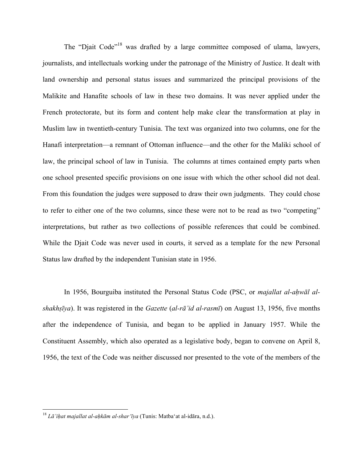The "Djait Code"<sup>18</sup> was drafted by a large committee composed of ulama, lawyers, journalists, and intellectuals working under the patronage of the Ministry of Justice. It dealt with land ownership and personal status issues and summarized the principal provisions of the Malikite and Hanafite schools of law in these two domains. It was never applied under the French protectorate, but its form and content help make clear the transformation at play in Muslim law in twentieth-century Tunisia. The text was organized into two columns, one for the Hanafi interpretation—a remnant of Ottoman influence—and the other for the Maliki school of law, the principal school of law in Tunisia. The columns at times contained empty parts when one school presented specific provisions on one issue with which the other school did not deal. From this foundation the judges were supposed to draw their own judgments. They could chose to refer to either one of the two columns, since these were not to be read as two "competing" interpretations, but rather as two collections of possible references that could be combined. While the Djait Code was never used in courts, it served as a template for the new Personal Status law drafted by the independent Tunisian state in 1956.

In 1956, Bourguiba instituted the Personal Status Code (PSC, or *majallat al-aḥwāl alshakhṣīya*). It was registered in the *Gazette* (*al-rā'id al-rasmī*) on August 13, 1956, five months after the independence of Tunisia, and began to be applied in January 1957. While the Constituent Assembly, which also operated as a legislative body, began to convene on April 8, 1956, the text of the Code was neither discussed nor presented to the vote of the members of the

 <sup>18</sup> *<sup>L</sup>ā'iḥat majallat al-aḥkām al-shar'īya* (Tunis: Matba'at al-idāra, n.d.).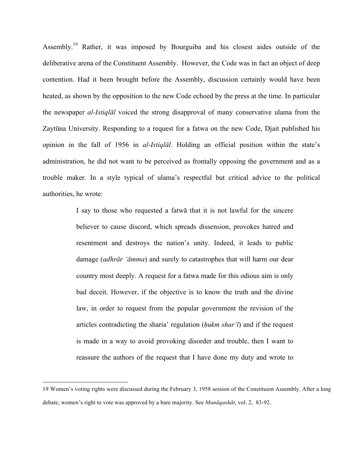Assembly.<sup>19</sup> Rather, it was imposed by Bourguiba and his closest aides outside of the deliberative arena of the Constituent Assembly. However, the Code was in fact an object of deep contention. Had it been brought before the Assembly, discussion certainly would have been heated, as shown by the opposition to the new Code echoed by the press at the time. In particular the newspaper *al-Istiqlāl* voiced the strong disapproval of many conservative ulama from the Zaytūna University. Responding to a request for a fatwa on the new Code, Djait published his opinion in the fall of 1956 in *al-Istiqlāl*. Holding an official position within the state's administration, he did not want to be perceived as frontally opposing the government and as a trouble maker. In a style typical of ulama's respectful but critical advice to the political authorities, he wrote:

> I say to those who requested a fatwā that it is not lawful for the sincere believer to cause discord, which spreads dissension, provokes hatred and resentment and destroys the nation's unity. Indeed, it leads to public damage (*adhrār 'āmma*) and surely to catastrophes that will harm our dear country most deeply. A request for a fatwa made for this odious aim is only bad deceit. However, if the objective is to know the truth and the divine law, in order to request from the popular government the revision of the articles contradicting the sharia' regulation (*ḥukm shar'ī*) and if the request is made in a way to avoid provoking disorder and trouble, then I want to reassure the authors of the request that I have done my duty and wrote to

<sup>19</sup> Women's voting rights were discussed during the February 3, 1958 session of the Constituent Assembly. After a long debate, women's right to vote was approved by a bare majority. See *Munāqashāt*, vol. 2, 83-92.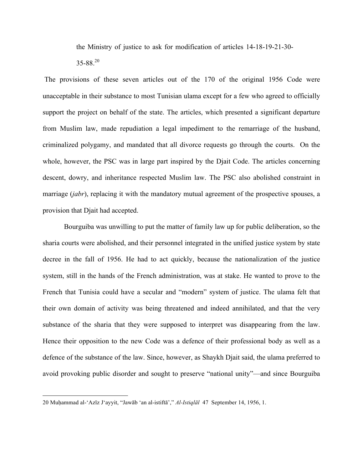the Ministry of justice to ask for modification of articles 14-18-19-21-30-

 $35-88^{20}$ 

 The provisions of these seven articles out of the 170 of the original 1956 Code were unacceptable in their substance to most Tunisian ulama except for a few who agreed to officially support the project on behalf of the state. The articles, which presented a significant departure from Muslim law, made repudiation a legal impediment to the remarriage of the husband, criminalized polygamy, and mandated that all divorce requests go through the courts. On the whole, however, the PSC was in large part inspired by the Djait Code. The articles concerning descent, dowry, and inheritance respected Muslim law. The PSC also abolished constraint in marriage (*jabr*), replacing it with the mandatory mutual agreement of the prospective spouses, a provision that Djait had accepted.

Bourguiba was unwilling to put the matter of family law up for public deliberation, so the sharia courts were abolished, and their personnel integrated in the unified justice system by state decree in the fall of 1956. He had to act quickly, because the nationalization of the justice system, still in the hands of the French administration, was at stake. He wanted to prove to the French that Tunisia could have a secular and "modern" system of justice. The ulama felt that their own domain of activity was being threatened and indeed annihilated, and that the very substance of the sharia that they were supposed to interpret was disappearing from the law. Hence their opposition to the new Code was a defence of their professional body as well as a defence of the substance of the law. Since, however, as Shaykh Djait said, the ulama preferred to avoid provoking public disorder and sought to preserve "national unity"—and since Bourguiba

 <sup>20</sup> Muḥammad al-'Azīz J'ayyit, "Jawāb 'an al-istiftā'," *Al-Istiqlāl* 47 September 14, 1956, 1.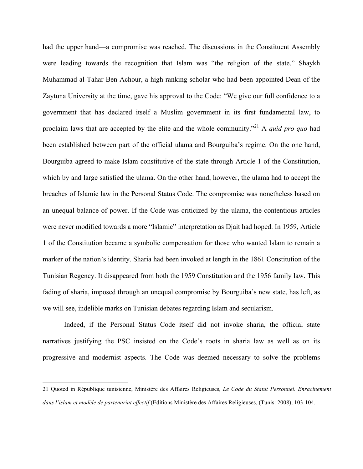had the upper hand—a compromise was reached. The discussions in the Constituent Assembly were leading towards the recognition that Islam was "the religion of the state." Shaykh Muhammad al-Tahar Ben Achour, a high ranking scholar who had been appointed Dean of the Zaytuna University at the time, gave his approval to the Code: "We give our full confidence to a government that has declared itself a Muslim government in its first fundamental law, to proclaim laws that are accepted by the elite and the whole community."21 A *quid pro quo* had been established between part of the official ulama and Bourguiba's regime. On the one hand, Bourguiba agreed to make Islam constitutive of the state through Article 1 of the Constitution, which by and large satisfied the ulama. On the other hand, however, the ulama had to accept the breaches of Islamic law in the Personal Status Code. The compromise was nonetheless based on an unequal balance of power. If the Code was criticized by the ulama, the contentious articles were never modified towards a more "Islamic" interpretation as Djait had hoped. In 1959, Article 1 of the Constitution became a symbolic compensation for those who wanted Islam to remain a marker of the nation's identity. Sharia had been invoked at length in the 1861 Constitution of the Tunisian Regency. It disappeared from both the 1959 Constitution and the 1956 family law. This fading of sharia, imposed through an unequal compromise by Bourguiba's new state, has left, as we will see, indelible marks on Tunisian debates regarding Islam and secularism.

Indeed, if the Personal Status Code itself did not invoke sharia, the official state narratives justifying the PSC insisted on the Code's roots in sharia law as well as on its progressive and modernist aspects. The Code was deemed necessary to solve the problems

<sup>21</sup> Quoted in République tunisienne, Ministère des Affaires Religieuses, *Le Code du Statut Personnel. Enracinement dans l'islam et modèle de partenariat effectif* (Editions Ministère des Affaires Religieuses, (Tunis: 2008), 103-104.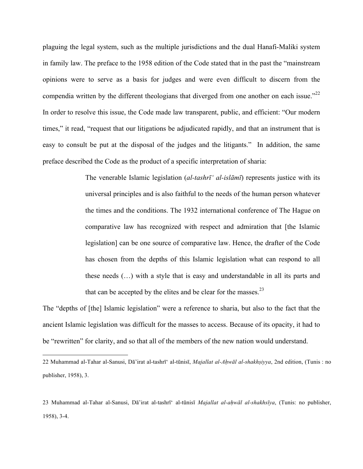plaguing the legal system, such as the multiple jurisdictions and the dual Hanafi-Maliki system in family law. The preface to the 1958 edition of the Code stated that in the past the "mainstream opinions were to serve as a basis for judges and were even difficult to discern from the compendia written by the different theologians that diverged from one another on each issue."<sup>22</sup> In order to resolve this issue, the Code made law transparent, public, and efficient: "Our modern times," it read, "request that our litigations be adjudicated rapidly, and that an instrument that is easy to consult be put at the disposal of the judges and the litigants." In addition, the same preface described the Code as the product of a specific interpretation of sharia:

> The venerable Islamic legislation (*al-tashrī' al-islāmī*) represents justice with its universal principles and is also faithful to the needs of the human person whatever the times and the conditions. The 1932 international conference of The Hague on comparative law has recognized with respect and admiration that [the Islamic legislation] can be one source of comparative law. Hence, the drafter of the Code has chosen from the depths of this Islamic legislation what can respond to all these needs (…) with a style that is easy and understandable in all its parts and that can be accepted by the elites and be clear for the masses. $2<sup>3</sup>$

The "depths of [the] Islamic legislation" were a reference to sharia, but also to the fact that the ancient Islamic legislation was difficult for the masses to access. Because of its opacity, it had to be "rewritten" for clarity, and so that all of the members of the new nation would understand.

<sup>22</sup> Muhammad al-Tahar al-Sanusi, Dā'irat al-tashrī' al-tūnisī, *Majallat al-Aḥwāl al-shakhṣiyya*, 2nd edition, (Tunis : no publisher, 1958), 3.

<sup>23</sup> Muhammad al-Tahar al-Sanusi, Dā'irat al-tashrī' al-tūnisī *Majallat al-aḥwāl al-shakhsīya*, (Tunis: no publisher, 1958), 3-4.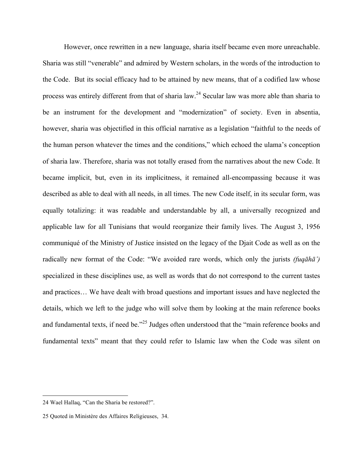However, once rewritten in a new language, sharia itself became even more unreachable. Sharia was still "venerable" and admired by Western scholars, in the words of the introduction to the Code. But its social efficacy had to be attained by new means, that of a codified law whose process was entirely different from that of sharia law.<sup>24</sup> Secular law was more able than sharia to be an instrument for the development and "modernization" of society. Even in absentia, however, sharia was objectified in this official narrative as a legislation "faithful to the needs of the human person whatever the times and the conditions," which echoed the ulama's conception of sharia law. Therefore, sharia was not totally erased from the narratives about the new Code. It became implicit, but, even in its implicitness, it remained all-encompassing because it was described as able to deal with all needs, in all times. The new Code itself, in its secular form, was equally totalizing: it was readable and understandable by all, a universally recognized and applicable law for all Tunisians that would reorganize their family lives. The August 3, 1956 communiqué of the Ministry of Justice insisted on the legacy of the Djait Code as well as on the radically new format of the Code: "We avoided rare words, which only the jurists *(fuqāhā')* specialized in these disciplines use, as well as words that do not correspond to the current tastes and practices… We have dealt with broad questions and important issues and have neglected the details, which we left to the judge who will solve them by looking at the main reference books and fundamental texts, if need be."<sup>25</sup> Judges often understood that the "main reference books and fundamental texts" meant that they could refer to Islamic law when the Code was silent on

 <sup>24</sup> Wael Hallaq, "Can the Sharia be restored?".

<sup>25</sup> Quoted in Ministère des Affaires Religieuses, 34.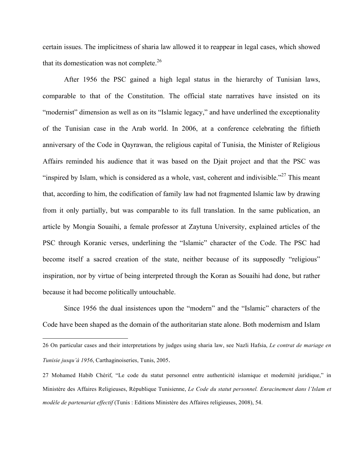certain issues. The implicitness of sharia law allowed it to reappear in legal cases, which showed that its domestication was not complete. $^{26}$ 

After 1956 the PSC gained a high legal status in the hierarchy of Tunisian laws, comparable to that of the Constitution. The official state narratives have insisted on its "modernist" dimension as well as on its "Islamic legacy," and have underlined the exceptionality of the Tunisian case in the Arab world. In 2006, at a conference celebrating the fiftieth anniversary of the Code in Qayrawan, the religious capital of Tunisia, the Minister of Religious Affairs reminded his audience that it was based on the Djait project and that the PSC was "inspired by Islam, which is considered as a whole, vast, coherent and indivisible."<sup>27</sup> This meant that, according to him, the codification of family law had not fragmented Islamic law by drawing from it only partially, but was comparable to its full translation. In the same publication, an article by Mongia Souaihi, a female professor at Zaytuna University, explained articles of the PSC through Koranic verses, underlining the "Islamic" character of the Code. The PSC had become itself a sacred creation of the state, neither because of its supposedly "religious" inspiration, nor by virtue of being interpreted through the Koran as Souaihi had done, but rather because it had become politically untouchable.

Since 1956 the dual insistences upon the "modern" and the "Islamic" characters of the Code have been shaped as the domain of the authoritarian state alone. Both modernism and Islam

<sup>26</sup> On particular cases and their interpretations by judges using sharia law, see Nazli Hafsia, *Le contrat de mariage en Tunisie jusqu'à 1956*, Carthaginoiseries, Tunis, 2005.

<sup>27</sup> Mohamed Habib Chérif, "Le code du statut personnel entre authenticité islamique et modernité juridique," in Ministère des Affaires Religieuses, République Tunisienne, *Le Code du statut personnel. Enracinement dans l'Islam et modèle de partenariat effectif* (Tunis : Editions Ministère des Affaires religieuses, 2008), 54.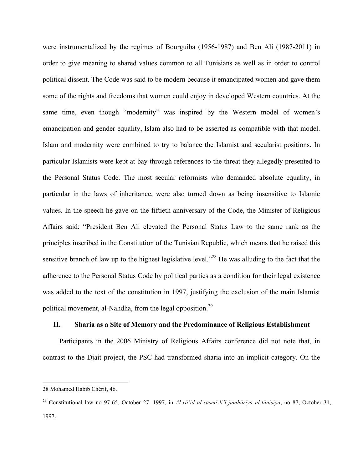were instrumentalized by the regimes of Bourguiba (1956-1987) and Ben Ali (1987-2011) in order to give meaning to shared values common to all Tunisians as well as in order to control political dissent. The Code was said to be modern because it emancipated women and gave them some of the rights and freedoms that women could enjoy in developed Western countries. At the same time, even though "modernity" was inspired by the Western model of women's emancipation and gender equality, Islam also had to be asserted as compatible with that model. Islam and modernity were combined to try to balance the Islamist and secularist positions. In particular Islamists were kept at bay through references to the threat they allegedly presented to the Personal Status Code. The most secular reformists who demanded absolute equality, in particular in the laws of inheritance, were also turned down as being insensitive to Islamic values. In the speech he gave on the fiftieth anniversary of the Code, the Minister of Religious Affairs said: "President Ben Ali elevated the Personal Status Law to the same rank as the principles inscribed in the Constitution of the Tunisian Republic, which means that he raised this sensitive branch of law up to the highest legislative level."<sup>28</sup> He was alluding to the fact that the adherence to the Personal Status Code by political parties as a condition for their legal existence was added to the text of the constitution in 1997, justifying the exclusion of the main Islamist political movement, al-Nahdha, from the legal opposition.<sup>29</sup>

#### **II. Sharia as a Site of Memory and the Predominance of Religious Establishment**

Participants in the 2006 Ministry of Religious Affairs conference did not note that, in contrast to the Djait project, the PSC had transformed sharia into an implicit category. On the

<sup>28</sup> Mohamed Habib Chérif, 46.

<sup>29</sup> Constitutional law no 97-65, October 27, 1997, in *Al-rā'id al-rasmī li'l-jumhūrīya al-tūnisīya*, no 87, October 31, 1997.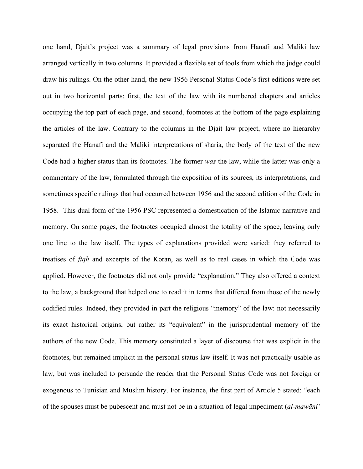one hand, Djait's project was a summary of legal provisions from Hanafi and Maliki law arranged vertically in two columns. It provided a flexible set of tools from which the judge could draw his rulings. On the other hand, the new 1956 Personal Status Code's first editions were set out in two horizontal parts: first, the text of the law with its numbered chapters and articles occupying the top part of each page, and second, footnotes at the bottom of the page explaining the articles of the law. Contrary to the columns in the Djait law project, where no hierarchy separated the Hanafi and the Maliki interpretations of sharia, the body of the text of the new Code had a higher status than its footnotes. The former *was* the law, while the latter was only a commentary of the law, formulated through the exposition of its sources, its interpretations, and sometimes specific rulings that had occurred between 1956 and the second edition of the Code in 1958. This dual form of the 1956 PSC represented a domestication of the Islamic narrative and memory. On some pages, the footnotes occupied almost the totality of the space, leaving only one line to the law itself. The types of explanations provided were varied: they referred to treatises of *fiqh* and excerpts of the Koran, as well as to real cases in which the Code was applied. However, the footnotes did not only provide "explanation." They also offered a context to the law, a background that helped one to read it in terms that differed from those of the newly codified rules. Indeed, they provided in part the religious "memory" of the law: not necessarily its exact historical origins, but rather its "equivalent" in the jurisprudential memory of the authors of the new Code. This memory constituted a layer of discourse that was explicit in the footnotes, but remained implicit in the personal status law itself. It was not practically usable as law, but was included to persuade the reader that the Personal Status Code was not foreign or exogenous to Tunisian and Muslim history. For instance, the first part of Article 5 stated: "each of the spouses must be pubescent and must not be in a situation of legal impediment (*al-mawāni'*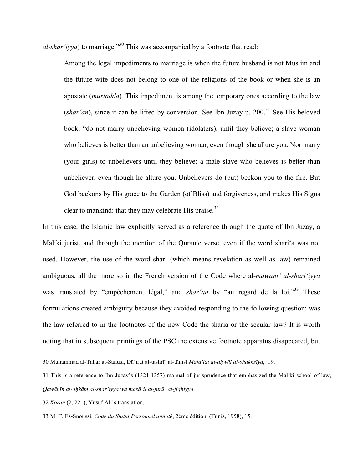*al-shar'iyya*) to marriage."30 This was accompanied by a footnote that read:

Among the legal impediments to marriage is when the future husband is not Muslim and the future wife does not belong to one of the religions of the book or when she is an apostate (*murtadda*). This impediment is among the temporary ones according to the law (*shar'an*), since it can be lifted by conversion. See Ibn Juzay p.  $200$ <sup>31</sup> See His beloved book: "do not marry unbelieving women (idolaters), until they believe; a slave woman who believes is better than an unbelieving woman, even though she allure you. Nor marry (your girls) to unbelievers until they believe: a male slave who believes is better than unbeliever, even though he allure you. Unbelievers do (but) beckon you to the fire. But God beckons by His grace to the Garden (of Bliss) and forgiveness, and makes His Signs clear to mankind: that they may celebrate His praise.<sup>32</sup>

In this case, the Islamic law explicitly served as a reference through the quote of Ibn Juzay, a Maliki jurist, and through the mention of the Quranic verse, even if the word shari'a was not used. However, the use of the word shar' (which means revelation as well as law) remained ambiguous, all the more so in the French version of the Code where al-*mawāni' al-shari'iyya* was translated by "empêchement légal," and *shar'an* by "au regard de la loi."<sup>33</sup> These formulations created ambiguity because they avoided responding to the following question: was the law referred to in the footnotes of the new Code the sharia or the secular law? It is worth noting that in subsequent printings of the PSC the extensive footnote apparatus disappeared, but

<sup>30</sup> Muhammad al-Tahar al-Sanusi, Dā'irat al-tashrī' al-tūnisī *Majallat al-aḥwāl al-shakhsīya*, 19.

<sup>31</sup> This is a reference to Ibn Juzay's (1321-1357) manual of jurisprudence that emphasized the Maliki school of law, *Qawānīn al-aḥkām al-shar'iyya wa masā'il al-furū' al-fiqhiyya*.

<sup>32</sup> *Koran* (2, 221), Yusuf Ali's translation.

<sup>33</sup> M. T. Es-Snoussi, *Code du Statut Personnel annoté*, 2ème édition, (Tunis, 1958), 15.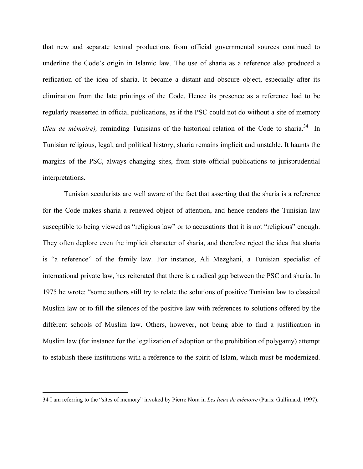that new and separate textual productions from official governmental sources continued to underline the Code's origin in Islamic law. The use of sharia as a reference also produced a reification of the idea of sharia. It became a distant and obscure object, especially after its elimination from the late printings of the Code. Hence its presence as a reference had to be regularly reasserted in official publications, as if the PSC could not do without a site of memory (*lieu de mémoire*), reminding Tunisians of the historical relation of the Code to sharia.<sup>34</sup> In Tunisian religious, legal, and political history, sharia remains implicit and unstable. It haunts the margins of the PSC, always changing sites, from state official publications to jurisprudential interpretations.

Tunisian secularists are well aware of the fact that asserting that the sharia is a reference for the Code makes sharia a renewed object of attention, and hence renders the Tunisian law susceptible to being viewed as "religious law" or to accusations that it is not "religious" enough. They often deplore even the implicit character of sharia, and therefore reject the idea that sharia is "a reference" of the family law. For instance, Ali Mezghani, a Tunisian specialist of international private law, has reiterated that there is a radical gap between the PSC and sharia. In 1975 he wrote: "some authors still try to relate the solutions of positive Tunisian law to classical Muslim law or to fill the silences of the positive law with references to solutions offered by the different schools of Muslim law. Others, however, not being able to find a justification in Muslim law (for instance for the legalization of adoption or the prohibition of polygamy) attempt to establish these institutions with a reference to the spirit of Islam, which must be modernized.

<sup>34</sup> I am referring to the "sites of memory" invoked by Pierre Nora in *Les lieux de mémoire* (Paris: Gallimard, 1997).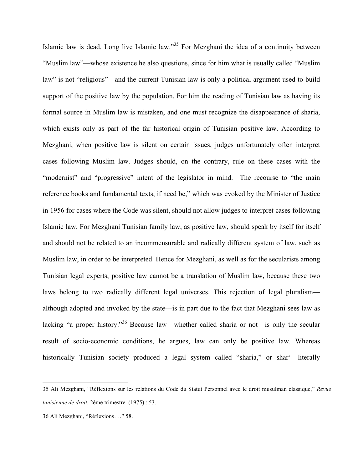Islamic law is dead. Long live Islamic law."35 For Mezghani the idea of a continuity between "Muslim law"—whose existence he also questions, since for him what is usually called "Muslim law" is not "religious"—and the current Tunisian law is only a political argument used to build support of the positive law by the population. For him the reading of Tunisian law as having its formal source in Muslim law is mistaken, and one must recognize the disappearance of sharia, which exists only as part of the far historical origin of Tunisian positive law. According to Mezghani, when positive law is silent on certain issues, judges unfortunately often interpret cases following Muslim law. Judges should, on the contrary, rule on these cases with the "modernist" and "progressive" intent of the legislator in mind. The recourse to "the main reference books and fundamental texts, if need be," which was evoked by the Minister of Justice in 1956 for cases where the Code was silent, should not allow judges to interpret cases following Islamic law. For Mezghani Tunisian family law, as positive law, should speak by itself for itself and should not be related to an incommensurable and radically different system of law, such as Muslim law, in order to be interpreted. Hence for Mezghani, as well as for the secularists among Tunisian legal experts, positive law cannot be a translation of Muslim law, because these two laws belong to two radically different legal universes. This rejection of legal pluralism although adopted and invoked by the state—is in part due to the fact that Mezghani sees law as lacking "a proper history."36 Because law—whether called sharia or not—is only the secular result of socio-economic conditions, he argues, law can only be positive law. Whereas historically Tunisian society produced a legal system called "sharia," or shar'—literally

<sup>35</sup> Ali Mezghani, "Réflexions sur les relations du Code du Statut Personnel avec le droit musulman classique," *Revue tunisienne de droit*, 2ème trimestre (1975) : 53.

<sup>36</sup> Ali Mezghani, "Réflexions…," 58.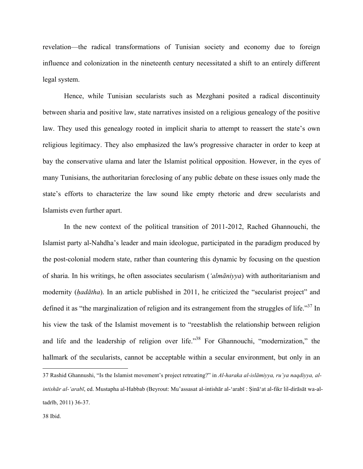revelation—the radical transformations of Tunisian society and economy due to foreign influence and colonization in the nineteenth century necessitated a shift to an entirely different legal system.

Hence, while Tunisian secularists such as Mezghani posited a radical discontinuity between sharia and positive law, state narratives insisted on a religious genealogy of the positive law. They used this genealogy rooted in implicit sharia to attempt to reassert the state's own religious legitimacy. They also emphasized the law's progressive character in order to keep at bay the conservative ulama and later the Islamist political opposition. However, in the eyes of many Tunisians, the authoritarian foreclosing of any public debate on these issues only made the state's efforts to characterize the law sound like empty rhetoric and drew secularists and Islamists even further apart.

In the new context of the political transition of 2011-2012, Rached Ghannouchi, the Islamist party al-Nahdha's leader and main ideologue, participated in the paradigm produced by the post-colonial modern state, rather than countering this dynamic by focusing on the question of sharia. In his writings, he often associates secularism (*'almāniyya*) with authoritarianism and modernity (*ḥadātha*). In an article published in 2011, he criticized the "secularist project" and defined it as "the marginalization of religion and its estrangement from the struggles of life."<sup>37</sup> In his view the task of the Islamist movement is to "reestablish the relationship between religion and life and the leadership of religion over life."<sup>38</sup> For Ghannouchi, "modernization," the hallmark of the secularists, cannot be acceptable within a secular environment, but only in an

<sup>37</sup> Rashid Ghannushi, "Is the Islamist movement's project retreating?" in *Al-haraka al-islāmiyya, ru'ya naqdiyya, alintishār al-'arabī*, ed. Mustapha al-Habbab (Beyrout: Mu'assasat al-intishār al-ʻarabī : Ṣināʻat al-fikr lil-dirāsāt wa-altadrīb, 2011) 36-37.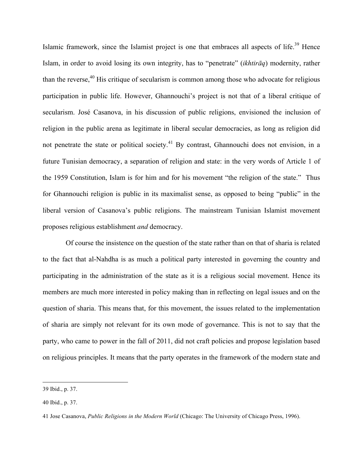Islamic framework, since the Islamist project is one that embraces all aspects of life.<sup>39</sup> Hence Islam, in order to avoid losing its own integrity, has to "penetrate" (*ikhtirāq*) modernity, rather than the reverse,  $40$  His critique of secularism is common among those who advocate for religious participation in public life. However, Ghannouchi's project is not that of a liberal critique of secularism. José Casanova, in his discussion of public religions, envisioned the inclusion of religion in the public arena as legitimate in liberal secular democracies, as long as religion did not penetrate the state or political society.<sup>41</sup> By contrast, Ghannouchi does not envision, in a future Tunisian democracy, a separation of religion and state: in the very words of Article 1 of the 1959 Constitution, Islam is for him and for his movement "the religion of the state." Thus for Ghannouchi religion is public in its maximalist sense, as opposed to being "public" in the liberal version of Casanova's public religions. The mainstream Tunisian Islamist movement proposes religious establishment *and* democracy.

 Of course the insistence on the question of the state rather than on that of sharia is related to the fact that al-Nahdha is as much a political party interested in governing the country and participating in the administration of the state as it is a religious social movement. Hence its members are much more interested in policy making than in reflecting on legal issues and on the question of sharia. This means that, for this movement, the issues related to the implementation of sharia are simply not relevant for its own mode of governance. This is not to say that the party, who came to power in the fall of 2011, did not craft policies and propose legislation based on religious principles. It means that the party operates in the framework of the modern state and

<sup>39</sup> Ibid., p. 37.

<sup>40</sup> Ibid., p. 37.

<sup>41</sup> Jose Casanova, *Public Religions in the Modern World* (Chicago: The University of Chicago Press, 1996).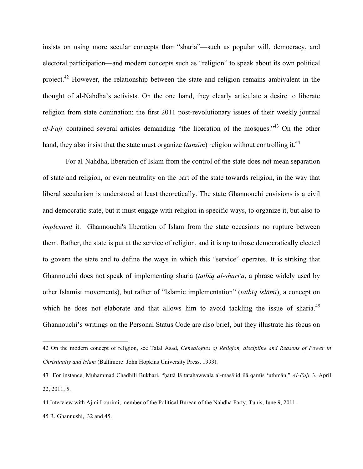insists on using more secular concepts than "sharia"—such as popular will, democracy, and electoral participation—and modern concepts such as "religion" to speak about its own political project.<sup>42</sup> However, the relationship between the state and religion remains ambivalent in the thought of al-Nahdha's activists. On the one hand, they clearly articulate a desire to liberate religion from state domination: the first 2011 post-revolutionary issues of their weekly journal *al-Fajr* contained several articles demanding "the liberation of the mosques."<sup>43</sup> On the other hand, they also insist that the state must organize (*tanzīm*) religion without controlling it.<sup>44</sup>

For al-Nahdha, liberation of Islam from the control of the state does not mean separation of state and religion, or even neutrality on the part of the state towards religion, in the way that liberal secularism is understood at least theoretically. The state Ghannouchi envisions is a civil and democratic state, but it must engage with religion in specific ways, to organize it, but also to *implement* it. Ghannouchi's liberation of Islam from the state occasions no rupture between them. Rather, the state is put at the service of religion, and it is up to those democratically elected to govern the state and to define the ways in which this "service" operates. It is striking that Ghannouchi does not speak of implementing sharia (*tatbīq al-shari'a*, a phrase widely used by other Islamist movements), but rather of "Islamic implementation" (*tatbīq islāmī*), a concept on which he does not elaborate and that allows him to avoid tackling the issue of sharia.<sup>45</sup> Ghannouchi's writings on the Personal Status Code are also brief, but they illustrate his focus on

 <sup>42</sup> On the modern concept of religion, see Talal Asad, *Genealogies of Religion, discipline and Reasons of Power in Christianity and Islam* (Baltimore: John Hopkins University Press, 1993).

<sup>43</sup> For instance, Muhammad Chadhili Bukhari, "ḥattā lā tataḥawwala al-masājid ilā qamīs 'uthmān," *Al-Fajr* 3, April 22, 2011, 5.

<sup>44</sup> Interview with Ajmi Lourimi, member of the Political Bureau of the Nahdha Party, Tunis, June 9, 2011.

<sup>45</sup> R. Ghannushi, 32 and 45.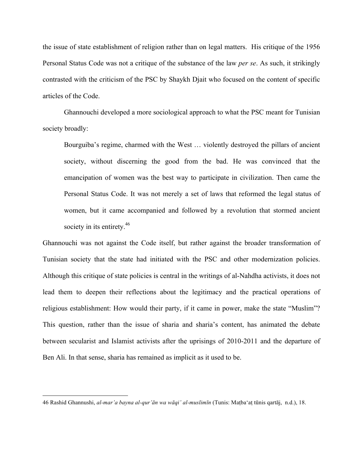the issue of state establishment of religion rather than on legal matters. His critique of the 1956 Personal Status Code was not a critique of the substance of the law *per se*. As such, it strikingly contrasted with the criticism of the PSC by Shaykh Djait who focused on the content of specific articles of the Code.

Ghannouchi developed a more sociological approach to what the PSC meant for Tunisian society broadly:

Bourguiba's regime, charmed with the West … violently destroyed the pillars of ancient society, without discerning the good from the bad. He was convinced that the emancipation of women was the best way to participate in civilization. Then came the Personal Status Code. It was not merely a set of laws that reformed the legal status of women, but it came accompanied and followed by a revolution that stormed ancient society in its entirety.<sup>46</sup>

Ghannouchi was not against the Code itself, but rather against the broader transformation of Tunisian society that the state had initiated with the PSC and other modernization policies. Although this critique of state policies is central in the writings of al-Nahdha activists, it does not lead them to deepen their reflections about the legitimacy and the practical operations of religious establishment: How would their party, if it came in power, make the state "Muslim"? This question, rather than the issue of sharia and sharia's content, has animated the debate between secularist and Islamist activists after the uprisings of 2010-2011 and the departure of Ben Ali. In that sense, sharia has remained as implicit as it used to be.

 <sup>46</sup> Rashid Ghannushi, *al-mar'a bayna al-qur'ān wa wāqi' al-muslimī<sup>n</sup>* (Tunis: Maṭba'aṭ tūnis qartāj, n.d.), 18.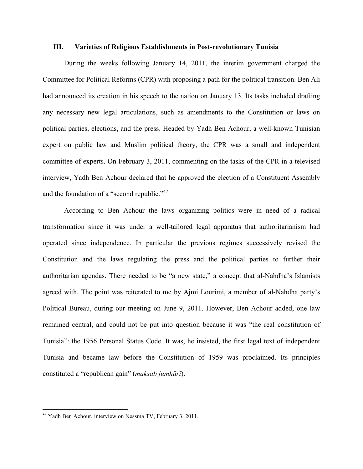#### **III. Varieties of Religious Establishments in Post-revolutionary Tunisia**

During the weeks following January 14, 2011, the interim government charged the Committee for Political Reforms (CPR) with proposing a path for the political transition. Ben Ali had announced its creation in his speech to the nation on January 13. Its tasks included drafting any necessary new legal articulations, such as amendments to the Constitution or laws on political parties, elections, and the press. Headed by Yadh Ben Achour, a well-known Tunisian expert on public law and Muslim political theory, the CPR was a small and independent committee of experts. On February 3, 2011, commenting on the tasks of the CPR in a televised interview, Yadh Ben Achour declared that he approved the election of a Constituent Assembly and the foundation of a "second republic."<sup>47</sup>

According to Ben Achour the laws organizing politics were in need of a radical transformation since it was under a well-tailored legal apparatus that authoritarianism had operated since independence. In particular the previous regimes successively revised the Constitution and the laws regulating the press and the political parties to further their authoritarian agendas. There needed to be "a new state," a concept that al-Nahdha's Islamists agreed with. The point was reiterated to me by Ajmi Lourimi, a member of al-Nahdha party's Political Bureau, during our meeting on June 9, 2011. However, Ben Achour added, one law remained central, and could not be put into question because it was "the real constitution of Tunisia": the 1956 Personal Status Code. It was, he insisted, the first legal text of independent Tunisia and became law before the Constitution of 1959 was proclaimed. Its principles constituted a "republican gain" (*maksab jumhūrī*).

 <sup>47</sup> Yadh Ben Achour, interview on Nessma TV, February 3, 2011.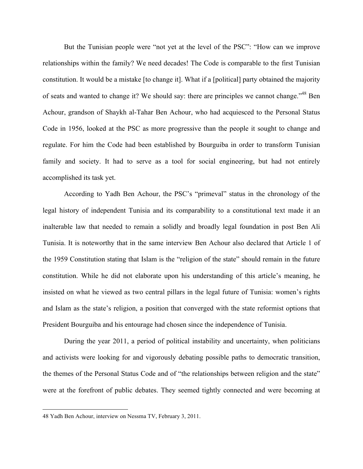But the Tunisian people were "not yet at the level of the PSC": "How can we improve relationships within the family? We need decades! The Code is comparable to the first Tunisian constitution. It would be a mistake [to change it]. What if a [political] party obtained the majority of seats and wanted to change it? We should say: there are principles we cannot change."<sup>48</sup> Ben Achour, grandson of Shaykh al-Tahar Ben Achour, who had acquiesced to the Personal Status Code in 1956, looked at the PSC as more progressive than the people it sought to change and regulate. For him the Code had been established by Bourguiba in order to transform Tunisian family and society. It had to serve as a tool for social engineering, but had not entirely accomplished its task yet.

According to Yadh Ben Achour, the PSC's "primeval" status in the chronology of the legal history of independent Tunisia and its comparability to a constitutional text made it an inalterable law that needed to remain a solidly and broadly legal foundation in post Ben Ali Tunisia. It is noteworthy that in the same interview Ben Achour also declared that Article 1 of the 1959 Constitution stating that Islam is the "religion of the state" should remain in the future constitution. While he did not elaborate upon his understanding of this article's meaning, he insisted on what he viewed as two central pillars in the legal future of Tunisia: women's rights and Islam as the state's religion, a position that converged with the state reformist options that President Bourguiba and his entourage had chosen since the independence of Tunisia.

During the year 2011, a period of political instability and uncertainty, when politicians and activists were looking for and vigorously debating possible paths to democratic transition, the themes of the Personal Status Code and of "the relationships between religion and the state" were at the forefront of public debates. They seemed tightly connected and were becoming at

 <sup>48</sup> Yadh Ben Achour, interview on Nessma TV, February 3, 2011.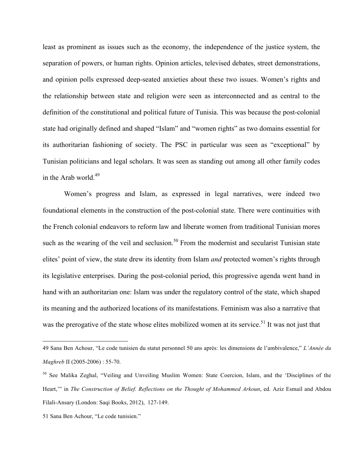least as prominent as issues such as the economy, the independence of the justice system, the separation of powers, or human rights. Opinion articles, televised debates, street demonstrations, and opinion polls expressed deep-seated anxieties about these two issues. Women's rights and the relationship between state and religion were seen as interconnected and as central to the definition of the constitutional and political future of Tunisia. This was because the post-colonial state had originally defined and shaped "Islam" and "women rights" as two domains essential for its authoritarian fashioning of society. The PSC in particular was seen as "exceptional" by Tunisian politicians and legal scholars. It was seen as standing out among all other family codes in the Arab world. 49

Women's progress and Islam, as expressed in legal narratives, were indeed two foundational elements in the construction of the post-colonial state. There were continuities with the French colonial endeavors to reform law and liberate women from traditional Tunisian mores such as the wearing of the veil and seclusion.<sup>50</sup> From the modernist and secularist Tunisian state elites' point of view, the state drew its identity from Islam *and* protected women's rights through its legislative enterprises. During the post-colonial period, this progressive agenda went hand in hand with an authoritarian one: Islam was under the regulatory control of the state, which shaped its meaning and the authorized locations of its manifestations. Feminism was also a narrative that was the prerogative of the state whose elites mobilized women at its service.<sup>51</sup> It was not just that

 <sup>49</sup> Sana Ben Achour, "Le code tunisien du statut personnel 50 ans après: les dimensions de l'ambivalence," *L'Année du Maghreb* II (2005-2006) : 55-70.

<sup>50</sup> See Malika Zeghal, "Veiling and Unveiling Muslim Women: State Coercion, Islam, and the 'Disciplines of the Heart,'" in *The Construction of Belief. Reflections on the Thought of Mohammed Arkoun*, ed. Aziz Esmail and Abdou Filali-Ansary (London: Saqi Books, 2012), 127-149.

<sup>51</sup> Sana Ben Achour, "Le code tunisien."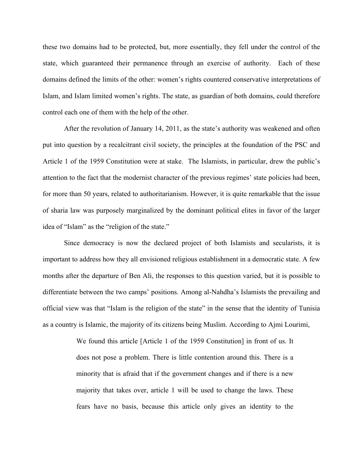these two domains had to be protected, but, more essentially, they fell under the control of the state, which guaranteed their permanence through an exercise of authority. Each of these domains defined the limits of the other: women's rights countered conservative interpretations of Islam, and Islam limited women's rights. The state, as guardian of both domains, could therefore control each one of them with the help of the other.

After the revolution of January 14, 2011, as the state's authority was weakened and often put into question by a recalcitrant civil society, the principles at the foundation of the PSC and Article 1 of the 1959 Constitution were at stake. The Islamists, in particular, drew the public's attention to the fact that the modernist character of the previous regimes' state policies had been, for more than 50 years, related to authoritarianism. However, it is quite remarkable that the issue of sharia law was purposely marginalized by the dominant political elites in favor of the larger idea of "Islam" as the "religion of the state."

Since democracy is now the declared project of both Islamists and secularists, it is important to address how they all envisioned religious establishment in a democratic state. A few months after the departure of Ben Ali, the responses to this question varied, but it is possible to differentiate between the two camps' positions. Among al-Nahdha's Islamists the prevailing and official view was that "Islam is the religion of the state" in the sense that the identity of Tunisia as a country is Islamic, the majority of its citizens being Muslim. According to Ajmi Lourimi,

> We found this article [Article 1 of the 1959 Constitution] in front of us. It does not pose a problem. There is little contention around this. There is a minority that is afraid that if the government changes and if there is a new majority that takes over, article 1 will be used to change the laws. These fears have no basis, because this article only gives an identity to the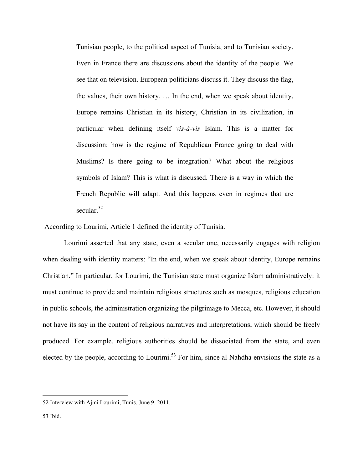Tunisian people, to the political aspect of Tunisia, and to Tunisian society. Even in France there are discussions about the identity of the people. We see that on television. European politicians discuss it. They discuss the flag, the values, their own history. … In the end, when we speak about identity, Europe remains Christian in its history, Christian in its civilization, in particular when defining itself *vis-à-vis* Islam. This is a matter for discussion: how is the regime of Republican France going to deal with Muslims? Is there going to be integration? What about the religious symbols of Islam? This is what is discussed. There is a way in which the French Republic will adapt. And this happens even in regimes that are secular. 52

According to Lourimi, Article 1 defined the identity of Tunisia.

Lourimi asserted that any state, even a secular one, necessarily engages with religion when dealing with identity matters: "In the end, when we speak about identity, Europe remains Christian." In particular, for Lourimi, the Tunisian state must organize Islam administratively: it must continue to provide and maintain religious structures such as mosques, religious education in public schools, the administration organizing the pilgrimage to Mecca, etc. However, it should not have its say in the content of religious narratives and interpretations, which should be freely produced. For example, religious authorities should be dissociated from the state, and even elected by the people, according to Lourimi.<sup>53</sup> For him, since al-Nahdha envisions the state as a

 <sup>52</sup> Interview with Ajmi Lourimi, Tunis, June 9, 2011.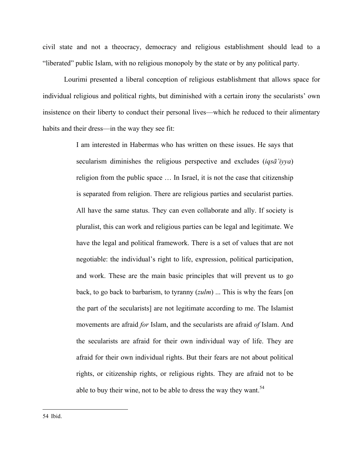civil state and not a theocracy, democracy and religious establishment should lead to a "liberated" public Islam, with no religious monopoly by the state or by any political party.

Lourimi presented a liberal conception of religious establishment that allows space for individual religious and political rights, but diminished with a certain irony the secularists' own insistence on their liberty to conduct their personal lives—which he reduced to their alimentary habits and their dress—in the way they see fit:

> I am interested in Habermas who has written on these issues. He says that secularism diminishes the religious perspective and excludes (*iqsā'iyya*) religion from the public space … In Israel, it is not the case that citizenship is separated from religion. There are religious parties and secularist parties. All have the same status. They can even collaborate and ally. If society is pluralist, this can work and religious parties can be legal and legitimate. We have the legal and political framework. There is a set of values that are not negotiable: the individual's right to life, expression, political participation, and work. These are the main basic principles that will prevent us to go back, to go back to barbarism, to tyranny (*zulm*) ... This is why the fears [on the part of the secularists] are not legitimate according to me. The Islamist movements are afraid *for* Islam, and the secularists are afraid *of* Islam. And the secularists are afraid for their own individual way of life. They are afraid for their own individual rights. But their fears are not about political rights, or citizenship rights, or religious rights. They are afraid not to be able to buy their wine, not to be able to dress the way they want.<sup>54</sup>

54 Ibid.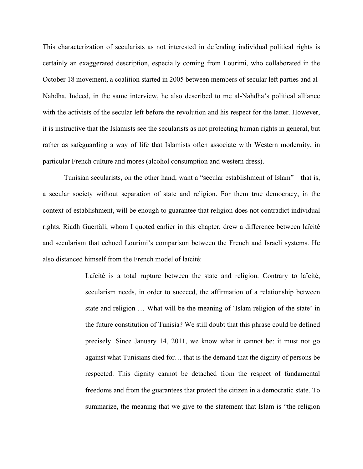This characterization of secularists as not interested in defending individual political rights is certainly an exaggerated description, especially coming from Lourimi, who collaborated in the October 18 movement, a coalition started in 2005 between members of secular left parties and al-Nahdha. Indeed, in the same interview, he also described to me al-Nahdha's political alliance with the activists of the secular left before the revolution and his respect for the latter. However, it is instructive that the Islamists see the secularists as not protecting human rights in general, but rather as safeguarding a way of life that Islamists often associate with Western modernity, in particular French culture and mores (alcohol consumption and western dress).

Tunisian secularists, on the other hand, want a "secular establishment of Islam"—that is, a secular society without separation of state and religion. For them true democracy, in the context of establishment, will be enough to guarantee that religion does not contradict individual rights. Riadh Guerfali, whom I quoted earlier in this chapter, drew a difference between laïcité and secularism that echoed Lourimi's comparison between the French and Israeli systems. He also distanced himself from the French model of laïcité:

> Laïcité is a total rupture between the state and religion. Contrary to laïcité, secularism needs, in order to succeed, the affirmation of a relationship between state and religion … What will be the meaning of 'Islam religion of the state' in the future constitution of Tunisia? We still doubt that this phrase could be defined precisely. Since January 14, 2011, we know what it cannot be: it must not go against what Tunisians died for… that is the demand that the dignity of persons be respected. This dignity cannot be detached from the respect of fundamental freedoms and from the guarantees that protect the citizen in a democratic state. To summarize, the meaning that we give to the statement that Islam is "the religion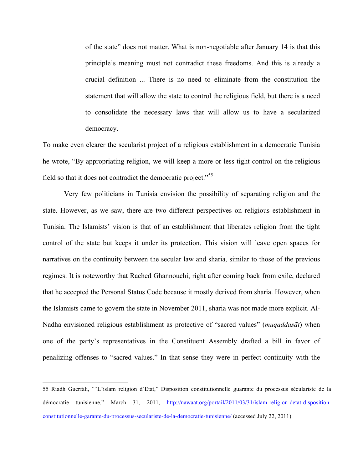of the state" does not matter. What is non-negotiable after January 14 is that this principle's meaning must not contradict these freedoms. And this is already a crucial definition ... There is no need to eliminate from the constitution the statement that will allow the state to control the religious field, but there is a need to consolidate the necessary laws that will allow us to have a secularized democracy.

To make even clearer the secularist project of a religious establishment in a democratic Tunisia he wrote, "By appropriating religion, we will keep a more or less tight control on the religious field so that it does not contradict the democratic project."<sup>55</sup>

Very few politicians in Tunisia envision the possibility of separating religion and the state. However, as we saw, there are two different perspectives on religious establishment in Tunisia. The Islamists' vision is that of an establishment that liberates religion from the tight control of the state but keeps it under its protection. This vision will leave open spaces for narratives on the continuity between the secular law and sharia, similar to those of the previous regimes. It is noteworthy that Rached Ghannouchi, right after coming back from exile, declared that he accepted the Personal Status Code because it mostly derived from sharia. However, when the Islamists came to govern the state in November 2011, sharia was not made more explicit. Al-Nadha envisioned religious establishment as protective of "sacred values" (*muqaddasāt*) when one of the party's representatives in the Constituent Assembly drafted a bill in favor of penalizing offenses to "sacred values." In that sense they were in perfect continuity with the

<sup>55</sup> Riadh Guerfali, ""L'islam religion d'Etat," Disposition constitutionnelle guarante du processus séculariste de la démocratie tunisienne," March 31, 2011, http://nawaat.org/portail/2011/03/31/islam-religion-detat-dispositionconstitutionnelle-garante-du-processus-seculariste-de-la-democratie-tunisienne/ (accessed July 22, 2011).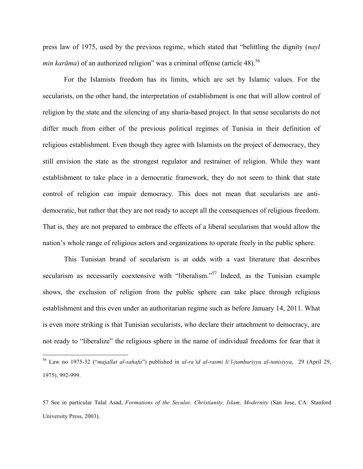press law of 1975, used by the previous regime, which stated that "belittling the dignity (*nayl min karāma*) of an authorized religion" was a criminal offense (article 48). 56

For the Islamists freedom has its limits, which are set by Islamic values. For the secularists, on the other hand, the interpretation of establishment is one that will allow control of religion by the state and the silencing of any sharia-based project. In that sense secularists do not differ much from either of the previous political regimes of Tunisia in their definition of religious establishment. Even though they agree with Islamists on the project of democracy, they still envision the state as the strongest regulator and restrainer of religion. While they want establishment to take place in a democratic framework, they do not seem to think that state control of religion can impair democracy. This does not mean that secularists are antidemocratic, but rather that they are not ready to accept all the consequences of religious freedom. That is, they are not prepared to embrace the effects of a liberal secularism that would allow the nation's whole range of religious actors and organizations to operate freely in the public sphere.

This Tunisian brand of secularism is at odds with a vast literature that describes secularism as necessarily coextensive with "liberalism."<sup>57</sup> Indeed, as the Tunisian example shows, the exclusion of religion from the public sphere can take place through religious establishment and this even under an authoritarian regime such as before January 14, 2011. What is even more striking is that Tunisian secularists, who declare their attachment to democracy, are not ready to "liberalize" the religious sphere in the name of individual freedoms for fear that it

 <sup>56</sup> Law no 1975-32 ("*majallat al-sahafa*") published in *al-ra'id al-rasmi li'l-jumhuriyya al-tunisiyya*, 29 (April 29, 1975), 992-999.

<sup>57</sup> See in particular Talal Asad, *Formations of the Secular. Christianity, Islam, Modernity* (San Jose, CA: Stanford University Press, 2003).